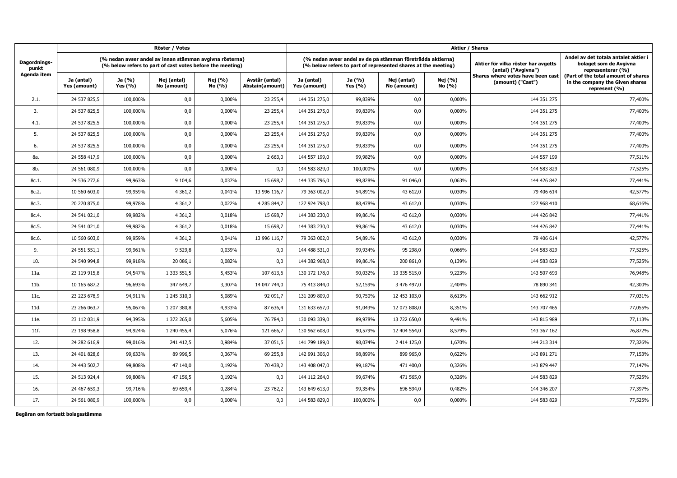| <b>Dagordnings-</b><br>punkt<br>Agenda item |                                                                                                                      | Röster / Votes        |                            | <b>Aktier / Shares</b> |                                          |                                                                                                                             |                       |                            |                   |                                                            |                                                                                         |
|---------------------------------------------|----------------------------------------------------------------------------------------------------------------------|-----------------------|----------------------------|------------------------|------------------------------------------|-----------------------------------------------------------------------------------------------------------------------------|-----------------------|----------------------------|-------------------|------------------------------------------------------------|-----------------------------------------------------------------------------------------|
|                                             | (% nedan avser andel av innan stämman avgivna rösterna)<br>(% below refers to part of cast votes before the meeting) |                       |                            |                        |                                          | (% nedan avser andel av de på stämman företrädda aktierna)<br>(% below refers to part of represented shares at the meeting) |                       |                            |                   | Aktier för vilka röster har avgetts<br>(antal) ("Avgivna") | Andel av det totala antalet aktier i<br>bolaget som de Avgivna<br>representerar (%)     |
|                                             | Ja (antal)<br>Yes (amount)                                                                                           | Ja (%)<br>Yes $(\% )$ | Nej (antal)<br>No (amount) | Nej (%)<br>No (%)      | Avstår (antal)<br><b>Abstain(amount)</b> | Ja (antal)<br>Yes (amount)                                                                                                  | Ja (%)<br>Yes $(\% )$ | Nej (antal)<br>No (amount) | Nej (%)<br>No (%) | Shares where votes have been cast<br>(amount) ("Cast")     | (Part of the total amount of shares<br>in the company the Given shares<br>represent (%) |
| 2.1.                                        | 24 537 825,5                                                                                                         | 100,000%              | 0,0                        | 0,000%                 | 23 255,4                                 | 144 351 275,0                                                                                                               | 99,839%               | 0,0                        | 0,000%            | 144 351 275                                                | 77,400%                                                                                 |
| 3.                                          | 24 537 825,5                                                                                                         | 100,000%              | 0,0                        | 0,000%                 | 23 255,4                                 | 144 351 275,0                                                                                                               | 99,839%               | 0,0                        | 0,000%            | 144 351 275                                                | 77,400%                                                                                 |
| 4.1.                                        | 24 537 825,5                                                                                                         | 100,000%              | 0,0                        | 0,000%                 | 23 255,4                                 | 144 351 275,0                                                                                                               | 99,839%               | 0,0                        | 0,000%            | 144 351 275                                                | 77,400%                                                                                 |
| 5.                                          | 24 537 825,5                                                                                                         | 100,000%              | 0,0                        | $0,000\%$              | 23 255,4                                 | 144 351 275,0                                                                                                               | 99,839%               | 0,0                        | 0,000%            | 144 351 275                                                | 77,400%                                                                                 |
| 6.                                          | 24 537 825,5                                                                                                         | 100,000%              | 0,0                        | 0,000%                 | 23 255,4                                 | 144 351 275,0                                                                                                               | 99,839%               | 0,0                        | 0,000%            | 144 351 275                                                | 77,400%                                                                                 |
| 8a.                                         | 24 558 417,9                                                                                                         | 100,000%              | 0,0                        | 0,000%                 | 2663,0                                   | 144 557 199,0                                                                                                               | 99,982%               | 0,0                        | 0,000%            | 144 557 199                                                | 77,511%                                                                                 |
| 8b.                                         | 24 561 080,9                                                                                                         | 100,000%              | 0,0                        | 0,000%                 | 0,0                                      | 144 583 829,0                                                                                                               | 100,000%              | 0,0                        | 0,000%            | 144 583 829                                                | 77,525%                                                                                 |
| 8c.1.                                       | 24 536 277,6                                                                                                         | 99,963%               | 9 104,6                    | 0,037%                 | 15 698,7                                 | 144 335 796,0                                                                                                               | 99,828%               | 91 046,0                   | 0,063%            | 144 426 842                                                | 77,441%                                                                                 |
| 8c.2.                                       | 10 560 603,0                                                                                                         | 99,959%               | 4 3 6 1 , 2                | 0,041%                 | 13 996 116,7                             | 79 363 002,0                                                                                                                | 54,891%               | 43 612,0                   | 0,030%            | 79 406 614                                                 | 42,577%                                                                                 |
| 8c.3.                                       | 20 270 875,0                                                                                                         | 99,978%               | 4 3 6 1 , 2                | 0,022%                 | 4 285 844,7                              | 127 924 798,0                                                                                                               | 88,478%               | 43 612,0                   | 0,030%            | 127 968 410                                                | 68,616%                                                                                 |
| 8c.4.                                       | 24 541 021,0                                                                                                         | 99,982%               | 4 3 6 1 , 2                | 0,018%                 | 15 698,7                                 | 144 383 230,0                                                                                                               | 99,861%               | 43 612,0                   | 0,030%            | 144 426 842                                                | 77,441%                                                                                 |
| 8c.5.                                       | 24 541 021,0                                                                                                         | 99,982%               | 4 3 6 1 , 2                | 0,018%                 | 15 698,7                                 | 144 383 230,0                                                                                                               | 99,861%               | 43 612,0                   | 0,030%            | 144 426 842                                                | 77,441%                                                                                 |
| 8c.6.                                       | 10 560 603,0                                                                                                         | 99,959%               | 4 3 6 1 , 2                | 0,041%                 | 13 996 116,7                             | 79 363 002,0                                                                                                                | 54,891%               | 43 612,0                   | 0,030%            | 79 406 614                                                 | 42,577%                                                                                 |
| 9.                                          | 24 551 551,1                                                                                                         | 99,961%               | 9 529,8                    | 0,039%                 | 0,0                                      | 144 488 531,0                                                                                                               | 99,934%               | 95 298,0                   | 0,066%            | 144 583 829                                                | 77,525%                                                                                 |
| 10.                                         | 24 540 994,8                                                                                                         | 99,918%               | 20 086,1                   | 0,082%                 | 0,0                                      | 144 382 968,0                                                                                                               | 99,861%               | 200 861,0                  | 0,139%            | 144 583 829                                                | 77,525%                                                                                 |
| 11a.                                        | 23 119 915,8                                                                                                         | 94,547%               | 1 333 551,5                | 5,453%                 | 107 613,6                                | 130 172 178,0                                                                                                               | 90,032%               | 13 335 515,0               | 9,223%            | 143 507 693                                                | 76,948%                                                                                 |
| 11b.                                        | 10 165 687,2                                                                                                         | 96,693%               | 347 649,7                  | 3,307%                 | 14 047 744,0                             | 75 413 844,0                                                                                                                | 52,159%               | 3 476 497,0                | 2,404%            | 78 890 341                                                 | 42,300%                                                                                 |
| 11c.                                        | 23 223 678,9                                                                                                         | 94,911%               | 1 245 310,3                | 5,089%                 | 92 091,7                                 | 131 209 809,0                                                                                                               | 90,750%               | 12 453 103,0               | 8,613%            | 143 662 912                                                | 77,031%                                                                                 |
| 11d.                                        | 23 266 063,7                                                                                                         | 95,067%               | 1 207 380,8                | 4,933%                 | 87 636,4                                 | 131 633 657,0                                                                                                               | 91,043%               | 12 073 808,0               | 8,351%            | 143 707 465                                                | 77,055%                                                                                 |
| 11e.                                        | 23 112 031,9                                                                                                         | 94,395%               | 1 372 265,0                | 5,605%                 | 76 784,0                                 | 130 093 339,0                                                                                                               | 89,978%               | 13 722 650,0               | 9,491%            | 143 815 989                                                | 77,113%                                                                                 |
| 11f.                                        | 23 198 958,8                                                                                                         | 94,924%               | 1 240 455,4                | 5,076%                 | 121 666,7                                | 130 962 608,0                                                                                                               | 90,579%               | 12 404 554,0               | 8,579%            | 143 367 162                                                | 76,872%                                                                                 |
| 12.                                         | 24 282 616,9                                                                                                         | 99,016%               | 241 412,5                  | 0,984%                 | 37 051,5                                 | 141 799 189,0                                                                                                               | 98,074%               | 2 414 125,0                | 1,670%            | 144 213 314                                                | 77,326%                                                                                 |
| 13.                                         | 24 401 828,6                                                                                                         | 99,633%               | 89 996,5                   | 0,367%                 | 69 255,8                                 | 142 991 306,0                                                                                                               | 98,899%               | 899 965,0                  | 0,622%            | 143 891 271                                                | 77,153%                                                                                 |
| 14.                                         | 24 443 502,7                                                                                                         | 99,808%               | 47 140,0                   | 0,192%                 | 70 438,2                                 | 143 408 047,0                                                                                                               | 99,187%               | 471 400,0                  | 0,326%            | 143 879 447                                                | 77,147%                                                                                 |
| 15.                                         | 24 513 924,4                                                                                                         | 99,808%               | 47 156,5                   | 0,192%                 | 0,0                                      | 144 112 264,0                                                                                                               | 99,674%               | 471 565,0                  | 0,326%            | 144 583 829                                                | 77,525%                                                                                 |
| 16.                                         | 24 467 659,3                                                                                                         | 99,716%               | 69 659,4                   | 0,284%                 | 23 762,2                                 | 143 649 613,0                                                                                                               | 99,354%               | 696 594,0                  | 0,482%            | 144 346 207                                                | 77,397%                                                                                 |
| 17.                                         | 24 561 080,9                                                                                                         | 100,000%              | 0,0                        | $0,000\%$              | 0,0                                      | 144 583 829,0                                                                                                               | 100,000%              | 0,0                        | $0,000\%$         | 144 583 829                                                | 77,525%                                                                                 |

**Begäran om fortsatt bolagsstämma**